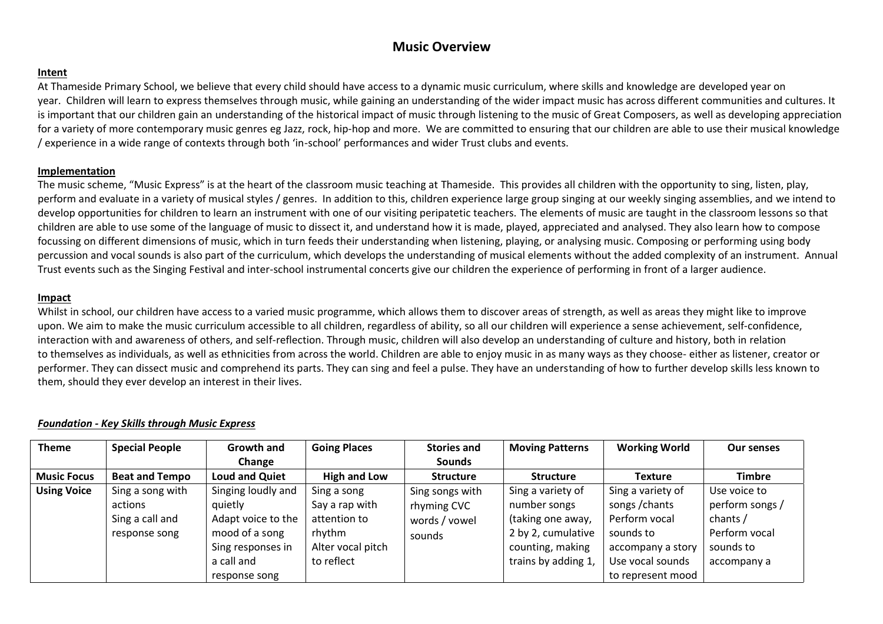# **Music Overview**

### **Intent**

At Thameside Primary School, we believe that every child should have access to a dynamic music curriculum, where skills and knowledge are developed year on year. Children will learn to express themselves through music, while gaining an understanding of the wider impact music has across different communities and cultures. It is important that our children gain an understanding of the historical impact of music through listening to the music of Great Composers, as well as developing appreciation for a variety of more contemporary music genres eg Jazz, rock, hip-hop and more. We are committed to ensuring that our children are able to use their musical knowledge / experience in a wide range of contexts through both 'in-school' performances and wider Trust clubs and events.

### **Implementation**

The music scheme, "Music Express" is at the heart of the classroom music teaching at Thameside. This provides all children with the opportunity to sing, listen, play, perform and evaluate in a variety of musical styles / genres. In addition to this, children experience large group singing at our weekly singing assemblies, and we intend to develop opportunities for children to learn an instrument with one of our visiting peripatetic teachers. The elements of music are taught in the classroom lessons so that children are able to use some of the language of music to dissect it, and understand how it is made, played, appreciated and analysed. They also learn how to compose focussing on different dimensions of music, which in turn feeds their understanding when listening, playing, or analysing music. Composing or performing using body percussion and vocal sounds is also part of the curriculum, which develops the understanding of musical elements without the added complexity of an instrument. Annual Trust events such as the Singing Festival and inter-school instrumental concerts give our children the experience of performing in front of a larger audience.

#### **Impact**

Whilst in school, our children have access to a varied music programme, which allows them to discover areas of strength, as well as areas they might like to improve upon. We aim to make the music curriculum accessible to all children, regardless of ability, so all our children will experience a sense achievement, self-confidence, interaction with and awareness of others, and self-reflection. Through music, children will also develop an understanding of culture and history, both in relation to themselves as individuals, as well as ethnicities from across the world. Children are able to enjoy music in as many ways as they choose- either as listener, creator or performer. They can dissect music and comprehend its parts. They can sing and feel a pulse. They have an understanding of how to further develop skills less known to them, should they ever develop an interest in their lives.

### *Foundation - Key Skills through Music Express*

| <b>Theme</b>       | <b>Special People</b> | Growth and            | <b>Going Places</b> | <b>Stories and</b> | <b>Moving Patterns</b> | <b>Working World</b> | <b>Our senses</b> |
|--------------------|-----------------------|-----------------------|---------------------|--------------------|------------------------|----------------------|-------------------|
|                    |                       | Change                |                     | <b>Sounds</b>      |                        |                      |                   |
| <b>Music Focus</b> | <b>Beat and Tempo</b> | <b>Loud and Quiet</b> | High and Low        | <b>Structure</b>   | <b>Structure</b>       | <b>Texture</b>       | <b>Timbre</b>     |
| <b>Using Voice</b> | Sing a song with      | Singing loudly and    | Sing a song         | Sing songs with    | Sing a variety of      | Sing a variety of    | Use voice to      |
|                    | actions               | quietly               | Say a rap with      | rhyming CVC        | number songs           | songs / chants       | perform songs /   |
|                    | Sing a call and       | Adapt voice to the    | attention to        | words / vowel      | (taking one away,      | Perform vocal        | chants /          |
|                    | response song         | mood of a song        | rhythm              | sounds             | 2 by 2, cumulative     | sounds to            | Perform vocal     |
|                    |                       | Sing responses in     | Alter vocal pitch   |                    | counting, making       | accompany a story    | sounds to         |
|                    |                       | a call and            | to reflect          |                    | trains by adding 1,    | Use vocal sounds     | accompany a       |
|                    |                       | response song         |                     |                    |                        | to represent mood    |                   |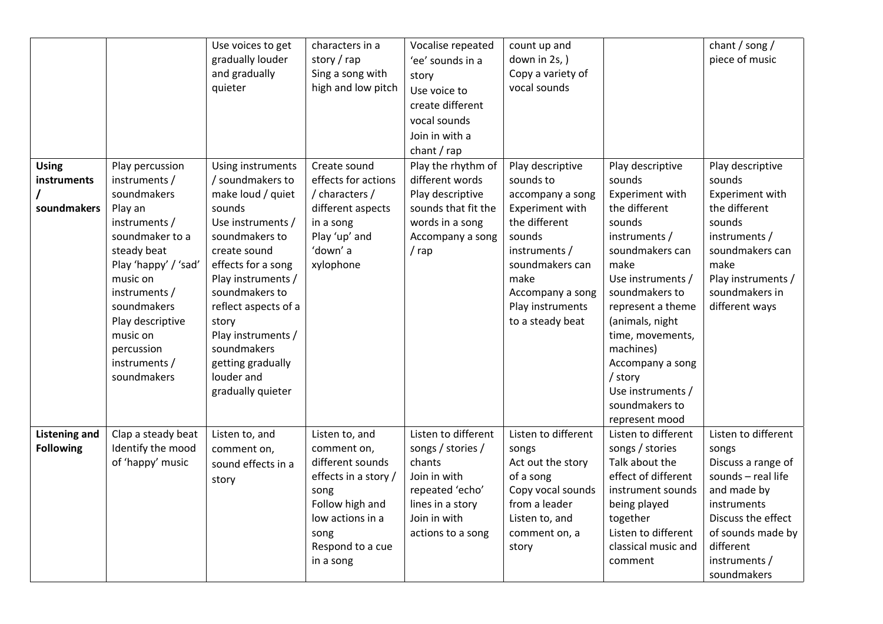|                      |                                 | Use voices to get<br>gradually louder | characters in a<br>story / rap | Vocalise repeated<br>'ee' sounds in a | count up and<br>down in 2s, )        |                                      | chant / song /<br>piece of music |
|----------------------|---------------------------------|---------------------------------------|--------------------------------|---------------------------------------|--------------------------------------|--------------------------------------|----------------------------------|
|                      |                                 | and gradually                         | Sing a song with               | story                                 | Copy a variety of                    |                                      |                                  |
|                      |                                 | quieter                               | high and low pitch             | Use voice to                          | vocal sounds                         |                                      |                                  |
|                      |                                 |                                       |                                | create different                      |                                      |                                      |                                  |
|                      |                                 |                                       |                                | vocal sounds                          |                                      |                                      |                                  |
|                      |                                 |                                       |                                | Join in with a                        |                                      |                                      |                                  |
|                      |                                 |                                       |                                | chant / rap                           |                                      |                                      |                                  |
| <b>Using</b>         | Play percussion                 | Using instruments                     | Create sound                   | Play the rhythm of                    | Play descriptive                     | Play descriptive                     | Play descriptive                 |
| instruments          | instruments /                   | / soundmakers to                      | effects for actions            | different words                       | sounds to                            | sounds                               | sounds                           |
|                      | soundmakers                     | make loud / quiet                     | / characters /                 | Play descriptive                      | accompany a song                     | Experiment with                      | Experiment with                  |
| soundmakers          | Play an                         | sounds                                | different aspects              | sounds that fit the                   | Experiment with                      | the different                        | the different                    |
|                      | instruments /                   | Use instruments /                     | in a song                      | words in a song                       | the different                        | sounds                               | sounds                           |
|                      | soundmaker to a                 | soundmakers to                        | Play 'up' and                  | Accompany a song                      | sounds                               | instruments /                        | instruments /                    |
|                      | steady beat                     | create sound                          | 'down' a                       | / rap                                 | instruments /                        | soundmakers can                      | soundmakers can                  |
|                      | Play 'happy' / 'sad'            | effects for a song                    | xylophone                      |                                       | soundmakers can                      | make                                 | make                             |
|                      | music on                        | Play instruments /                    |                                |                                       | make                                 | Use instruments /                    | Play instruments /               |
|                      | instruments /                   | soundmakers to                        |                                |                                       | Accompany a song                     | soundmakers to                       | soundmakers in                   |
|                      | soundmakers<br>Play descriptive | reflect aspects of a<br>story         |                                |                                       | Play instruments<br>to a steady beat | represent a theme<br>(animals, night | different ways                   |
|                      | music on                        | Play instruments /                    |                                |                                       |                                      | time, movements,                     |                                  |
|                      | percussion                      | soundmakers                           |                                |                                       |                                      | machines)                            |                                  |
|                      | instruments /                   | getting gradually                     |                                |                                       |                                      | Accompany a song                     |                                  |
|                      | soundmakers                     | louder and                            |                                |                                       |                                      | / story                              |                                  |
|                      |                                 | gradually quieter                     |                                |                                       |                                      | Use instruments /                    |                                  |
|                      |                                 |                                       |                                |                                       |                                      | soundmakers to                       |                                  |
|                      |                                 |                                       |                                |                                       |                                      | represent mood                       |                                  |
| <b>Listening and</b> | Clap a steady beat              | Listen to, and                        | Listen to, and                 | Listen to different                   | Listen to different                  | Listen to different                  | Listen to different              |
| <b>Following</b>     | Identify the mood               | comment on,                           | comment on,                    | songs / stories /                     | songs                                | songs / stories                      | songs                            |
|                      | of 'happy' music                | sound effects in a                    | different sounds               | chants                                | Act out the story                    | Talk about the                       | Discuss a range of               |
|                      |                                 | story                                 | effects in a story /           | Join in with                          | of a song                            | effect of different                  | sounds - real life               |
|                      |                                 |                                       | song<br>Follow high and        | repeated 'echo'<br>lines in a story   | Copy vocal sounds<br>from a leader   | instrument sounds<br>being played    | and made by<br>instruments       |
|                      |                                 |                                       | low actions in a               | Join in with                          | Listen to, and                       | together                             | Discuss the effect               |
|                      |                                 |                                       | song                           | actions to a song                     | comment on, a                        | Listen to different                  | of sounds made by                |
|                      |                                 |                                       | Respond to a cue               |                                       | story                                | classical music and                  | different                        |
|                      |                                 |                                       | in a song                      |                                       |                                      | comment                              | instruments /                    |
|                      |                                 |                                       |                                |                                       |                                      |                                      | soundmakers                      |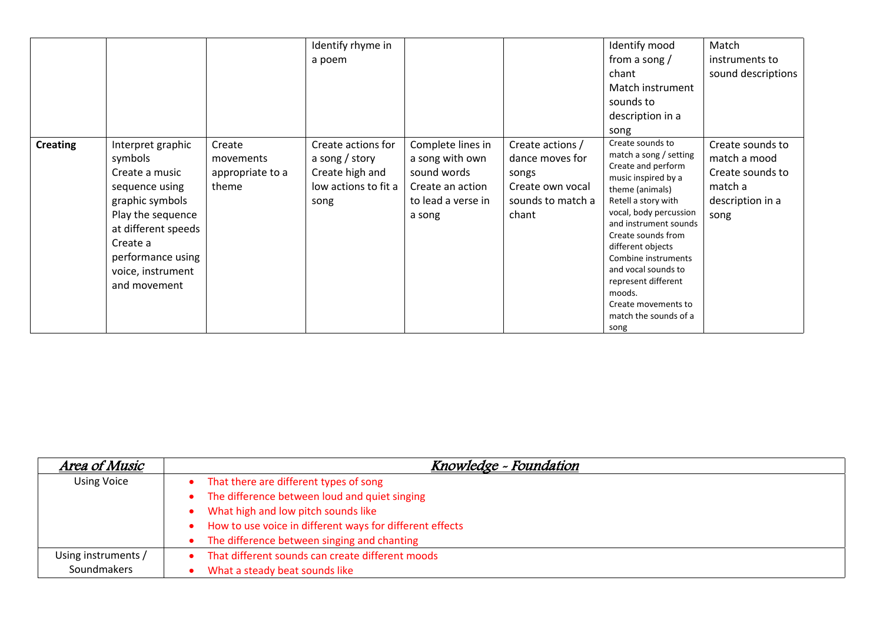|                 |                                                                                                                                                                                                       |                                                  | Identify rhyme in<br>a poem                                                             |                                                                                                         |                                                                                                | Identify mood<br>from a song $/$<br>chant<br>Match instrument<br>sounds to<br>description in a<br>song                                                                                                                                                                                                                                                                 | Match<br>instruments to<br>sound descriptions                                               |
|-----------------|-------------------------------------------------------------------------------------------------------------------------------------------------------------------------------------------------------|--------------------------------------------------|-----------------------------------------------------------------------------------------|---------------------------------------------------------------------------------------------------------|------------------------------------------------------------------------------------------------|------------------------------------------------------------------------------------------------------------------------------------------------------------------------------------------------------------------------------------------------------------------------------------------------------------------------------------------------------------------------|---------------------------------------------------------------------------------------------|
| <b>Creating</b> | Interpret graphic<br>symbols<br>Create a music<br>sequence using<br>graphic symbols<br>Play the sequence<br>at different speeds<br>Create a<br>performance using<br>voice, instrument<br>and movement | Create<br>movements<br>appropriate to a<br>theme | Create actions for<br>a song / story<br>Create high and<br>low actions to fit a<br>song | Complete lines in<br>a song with own<br>sound words<br>Create an action<br>to lead a verse in<br>a song | Create actions /<br>dance moves for<br>songs<br>Create own yocal<br>sounds to match a<br>chant | Create sounds to<br>match a song / setting<br>Create and perform<br>music inspired by a<br>theme (animals)<br>Retell a story with<br>vocal, body percussion<br>and instrument sounds<br>Create sounds from<br>different objects<br>Combine instruments<br>and vocal sounds to<br>represent different<br>moods.<br>Create movements to<br>match the sounds of a<br>song | Create sounds to<br>match a mood<br>Create sounds to<br>match a<br>description in a<br>song |

| Area of Music       | Knowledge - Foundation                                   |
|---------------------|----------------------------------------------------------|
| <b>Using Voice</b>  | That there are different types of song                   |
|                     | The difference between loud and quiet singing            |
|                     | What high and low pitch sounds like                      |
|                     | How to use voice in different ways for different effects |
|                     | The difference between singing and chanting              |
| Using instruments / | That different sounds can create different moods         |
| Soundmakers         | What a steady beat sounds like                           |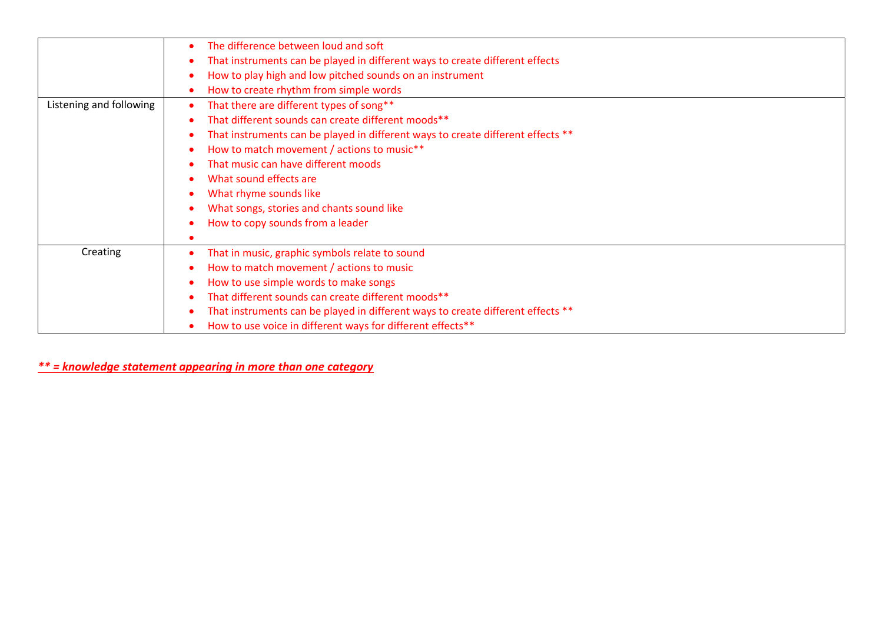|                         | The difference between loud and soft                                            |
|-------------------------|---------------------------------------------------------------------------------|
|                         | That instruments can be played in different ways to create different effects    |
|                         | How to play high and low pitched sounds on an instrument                        |
|                         | How to create rhythm from simple words                                          |
| Listening and following | That there are different types of song**                                        |
|                         | That different sounds can create different moods**                              |
|                         | That instruments can be played in different ways to create different effects ** |
|                         | How to match movement / actions to music**                                      |
|                         | That music can have different moods                                             |
|                         | What sound effects are                                                          |
|                         | What rhyme sounds like                                                          |
|                         | What songs, stories and chants sound like                                       |
|                         | How to copy sounds from a leader                                                |
|                         |                                                                                 |
| Creating                | That in music, graphic symbols relate to sound                                  |
|                         | How to match movement / actions to music                                        |
|                         | How to use simple words to make songs                                           |
|                         | That different sounds can create different moods**                              |
|                         | That instruments can be played in different ways to create different effects ** |
|                         | How to use voice in different ways for different effects**                      |
|                         |                                                                                 |

*\*\* = knowledge statement appearing in more than one category*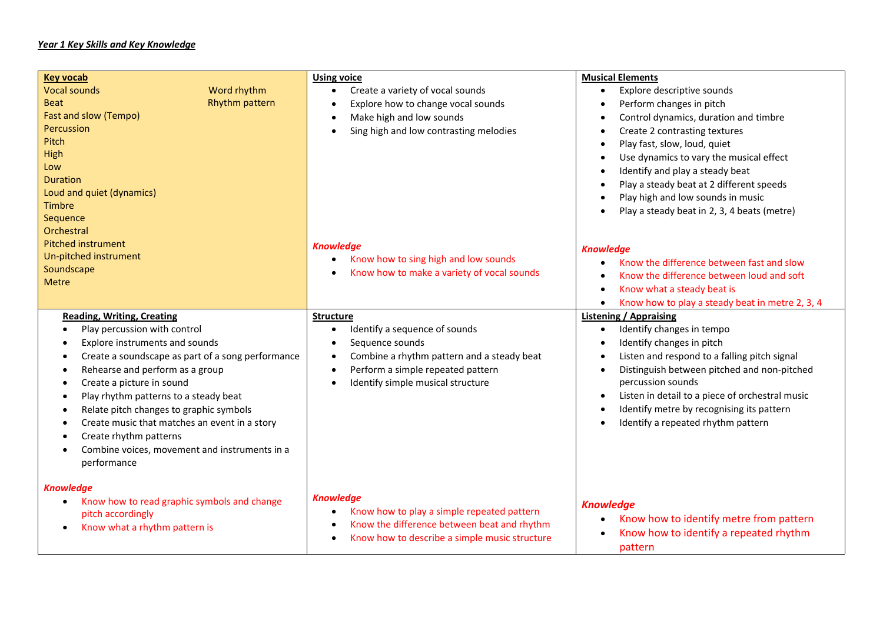### *Year 1 Key Skills and Key Knowledge*

| <b>Key vocab</b><br><b>Vocal sounds</b><br>Word rhythm<br><b>Rhythm pattern</b><br><b>Beat</b><br>Fast and slow (Tempo)<br>Percussion<br>Pitch<br>High<br>Low<br><b>Duration</b><br>Loud and quiet (dynamics)<br><b>Timbre</b><br>Sequence                                                                                                                                                                              | <b>Using voice</b><br>Create a variety of vocal sounds<br>$\bullet$<br>Explore how to change vocal sounds<br>Make high and low sounds<br>$\bullet$<br>Sing high and low contrasting melodies<br>$\bullet$ | <b>Musical Elements</b><br>Explore descriptive sounds<br>$\bullet$<br>Perform changes in pitch<br>$\bullet$<br>Control dynamics, duration and timbre<br>Create 2 contrasting textures<br>Play fast, slow, loud, quiet<br>Use dynamics to vary the musical effect<br>Identify and play a steady beat<br>Play a steady beat at 2 different speeds<br>Play high and low sounds in music<br>Play a steady beat in 2, 3, 4 beats (metre) |
|-------------------------------------------------------------------------------------------------------------------------------------------------------------------------------------------------------------------------------------------------------------------------------------------------------------------------------------------------------------------------------------------------------------------------|-----------------------------------------------------------------------------------------------------------------------------------------------------------------------------------------------------------|-------------------------------------------------------------------------------------------------------------------------------------------------------------------------------------------------------------------------------------------------------------------------------------------------------------------------------------------------------------------------------------------------------------------------------------|
| Orchestral<br><b>Pitched instrument</b><br>Un-pitched instrument<br>Soundscape<br><b>Metre</b><br><b>Reading, Writing, Creating</b>                                                                                                                                                                                                                                                                                     | <b>Knowledge</b><br>Know how to sing high and low sounds<br>$\bullet$<br>Know how to make a variety of vocal sounds<br><b>Structure</b>                                                                   | <b>Knowledge</b><br>Know the difference between fast and slow<br>$\bullet$<br>Know the difference between loud and soft<br>Know what a steady beat is<br>$\bullet$<br>Know how to play a steady beat in metre 2, 3, 4<br><b>Listening / Appraising</b>                                                                                                                                                                              |
| Play percussion with control<br>Explore instruments and sounds<br>Create a soundscape as part of a song performance<br>Rehearse and perform as a group<br>Create a picture in sound<br>Play rhythm patterns to a steady beat<br>Relate pitch changes to graphic symbols<br>٠<br>Create music that matches an event in a story<br>Create rhythm patterns<br>Combine voices, movement and instruments in a<br>performance | Identify a sequence of sounds<br>Sequence sounds<br>Combine a rhythm pattern and a steady beat<br>Perform a simple repeated pattern<br>$\bullet$<br>Identify simple musical structure                     | Identify changes in tempo<br>$\bullet$<br>Identify changes in pitch<br>Listen and respond to a falling pitch signal<br>Distinguish between pitched and non-pitched<br>$\bullet$<br>percussion sounds<br>Listen in detail to a piece of orchestral music<br>Identify metre by recognising its pattern<br>Identify a repeated rhythm pattern                                                                                          |
| <b>Knowledge</b><br>Know how to read graphic symbols and change<br>٠<br>pitch accordingly<br>Know what a rhythm pattern is                                                                                                                                                                                                                                                                                              | <b>Knowledge</b><br>Know how to play a simple repeated pattern<br>$\bullet$<br>Know the difference between beat and rhythm<br>$\bullet$<br>Know how to describe a simple music structure<br>$\bullet$     | <b>Knowledge</b><br>Know how to identify metre from pattern<br>Know how to identify a repeated rhythm<br>pattern                                                                                                                                                                                                                                                                                                                    |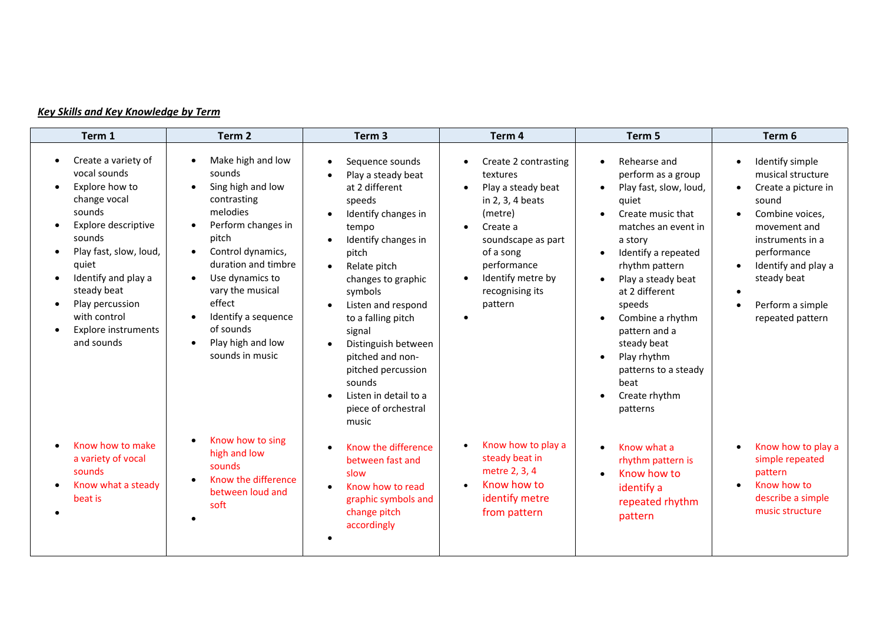## *Key Skills and Key Knowledge by Term*

| Term 1                                                                                                                                                                                                                                                                   | Term <sub>2</sub>                                                                                                                                                                                                                                                                                                                                                                     | Term <sub>3</sub>                                                                                                                                                                                                                                                                                                                                                                         | Term 4                                                                                                                                                                                                                           | Term 5                                                                                                                                                                                                                                                                                                                                                               | Term 6                                                                                                                                                                                                                                                                                    |
|--------------------------------------------------------------------------------------------------------------------------------------------------------------------------------------------------------------------------------------------------------------------------|---------------------------------------------------------------------------------------------------------------------------------------------------------------------------------------------------------------------------------------------------------------------------------------------------------------------------------------------------------------------------------------|-------------------------------------------------------------------------------------------------------------------------------------------------------------------------------------------------------------------------------------------------------------------------------------------------------------------------------------------------------------------------------------------|----------------------------------------------------------------------------------------------------------------------------------------------------------------------------------------------------------------------------------|----------------------------------------------------------------------------------------------------------------------------------------------------------------------------------------------------------------------------------------------------------------------------------------------------------------------------------------------------------------------|-------------------------------------------------------------------------------------------------------------------------------------------------------------------------------------------------------------------------------------------------------------------------------------------|
| Create a variety of<br>vocal sounds<br>Explore how to<br>change vocal<br>sounds<br>Explore descriptive<br>sounds<br>Play fast, slow, loud,<br>quiet<br>Identify and play a<br>steady beat<br>Play percussion<br>with control<br><b>Explore instruments</b><br>and sounds | Make high and low<br>sounds<br>Sing high and low<br>$\bullet$<br>contrasting<br>melodies<br>Perform changes in<br>$\bullet$<br>pitch<br>Control dynamics,<br>$\bullet$<br>duration and timbre<br>Use dynamics to<br>$\bullet$<br>vary the musical<br>effect<br>Identify a sequence<br>$\bullet$<br>of sounds<br>Play high and low<br>sounds in music<br>Know how to sing<br>$\bullet$ | Sequence sounds<br>Play a steady beat<br>at 2 different<br>speeds<br>Identify changes in<br>tempo<br>Identify changes in<br>pitch<br>Relate pitch<br>$\bullet$<br>changes to graphic<br>symbols<br>Listen and respond<br>to a falling pitch<br>signal<br>Distinguish between<br>pitched and non-<br>pitched percussion<br>sounds<br>Listen in detail to a<br>piece of orchestral<br>music | Create 2 contrasting<br>$\bullet$<br>textures<br>Play a steady beat<br>in 2, 3, 4 beats<br>(metre)<br>Create a<br>$\bullet$<br>soundscape as part<br>of a song<br>performance<br>Identify metre by<br>recognising its<br>pattern | Rehearse and<br>perform as a group<br>Play fast, slow, loud,<br>quiet<br>Create music that<br>$\bullet$<br>matches an event in<br>a story<br>Identify a repeated<br>rhythm pattern<br>Play a steady beat<br>at 2 different<br>speeds<br>Combine a rhythm<br>pattern and a<br>steady beat<br>Play rhythm<br>patterns to a steady<br>beat<br>Create rhythm<br>patterns | Identify simple<br>$\bullet$<br>musical structure<br>Create a picture in<br>$\bullet$<br>sound<br>Combine voices,<br>$\bullet$<br>movement and<br>instruments in a<br>performance<br>Identify and play a<br>$\bullet$<br>steady beat<br>Perform a simple<br>$\bullet$<br>repeated pattern |
| Know how to make<br>a variety of vocal<br>sounds<br>Know what a steady<br>beat is                                                                                                                                                                                        | high and low<br>sounds<br>Know the difference<br>between loud and<br>soft                                                                                                                                                                                                                                                                                                             | Know the difference<br>between fast and<br>slow<br>Know how to read<br>$\bullet$<br>graphic symbols and<br>change pitch<br>accordingly                                                                                                                                                                                                                                                    | Know how to play a<br>$\bullet$<br>steady beat in<br>metre 2, 3, 4<br>Know how to<br>identify metre<br>from pattern                                                                                                              | Know what a<br>rhythm pattern is<br>Know how to<br>identify a<br>repeated rhythm<br>pattern                                                                                                                                                                                                                                                                          | Know how to play a<br>$\bullet$<br>simple repeated<br>pattern<br>Know how to<br>describe a simple<br>music structure                                                                                                                                                                      |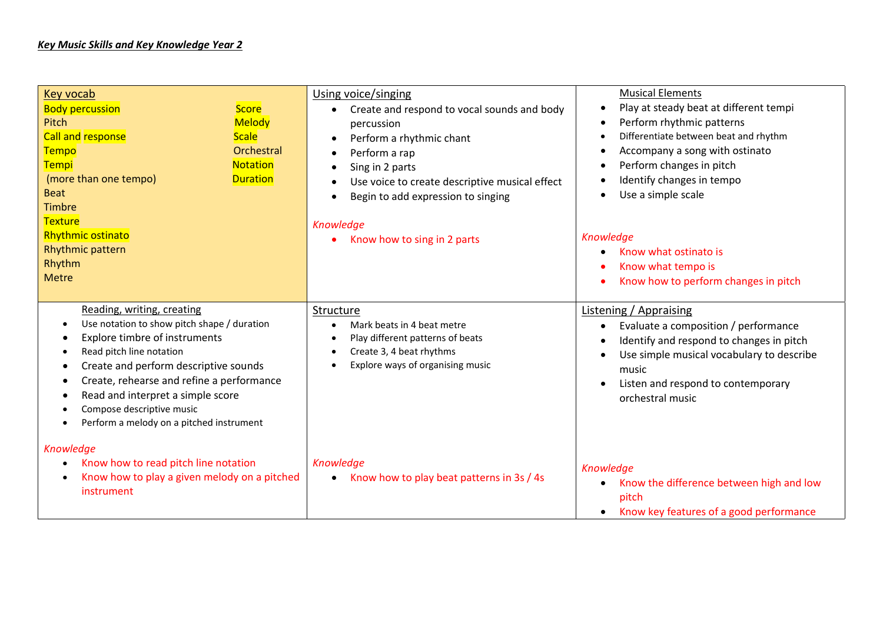| <b>Key vocab</b><br><b>Body percussion</b><br><b>Score</b><br><b>Melody</b><br>Pitch<br><b>Call and response</b><br><b>Scale</b><br>Orchestral<br><b>Tempo</b><br><b>Tempi</b><br><b>Notation</b><br>(more than one tempo)<br><b>Duration</b><br><b>Beat</b><br><b>Timbre</b><br><b>Texture</b>                                                      | Using voice/singing<br>Create and respond to vocal sounds and body<br>$\bullet$<br>percussion<br>Perform a rhythmic chant<br>$\bullet$<br>Perform a rap<br>$\bullet$<br>Sing in 2 parts<br>$\bullet$<br>Use voice to create descriptive musical effect<br>Begin to add expression to singing<br>Knowledge | <b>Musical Elements</b><br>Play at steady beat at different tempi<br>$\bullet$<br>Perform rhythmic patterns<br>$\bullet$<br>Differentiate between beat and rhythm<br>$\bullet$<br>Accompany a song with ostinato<br>$\bullet$<br>Perform changes in pitch<br>$\bullet$<br>Identify changes in tempo<br>$\bullet$<br>Use a simple scale<br>$\bullet$ |  |  |
|------------------------------------------------------------------------------------------------------------------------------------------------------------------------------------------------------------------------------------------------------------------------------------------------------------------------------------------------------|-----------------------------------------------------------------------------------------------------------------------------------------------------------------------------------------------------------------------------------------------------------------------------------------------------------|-----------------------------------------------------------------------------------------------------------------------------------------------------------------------------------------------------------------------------------------------------------------------------------------------------------------------------------------------------|--|--|
| <b>Rhythmic ostinato</b><br>Rhythmic pattern<br>Rhythm<br><b>Metre</b>                                                                                                                                                                                                                                                                               | Know how to sing in 2 parts                                                                                                                                                                                                                                                                               | Knowledge<br>Know what ostinato is<br>٠<br>Know what tempo is<br>Know how to perform changes in pitch                                                                                                                                                                                                                                               |  |  |
| Reading, writing, creating<br>Use notation to show pitch shape / duration<br>Explore timbre of instruments<br>Read pitch line notation<br>Create and perform descriptive sounds<br>٠<br>Create, rehearse and refine a performance<br>Read and interpret a simple score<br>٠<br>Compose descriptive music<br>Perform a melody on a pitched instrument | <b>Structure</b><br>Mark beats in 4 beat metre<br>$\bullet$<br>Play different patterns of beats<br>Create 3, 4 beat rhythms<br>Explore ways of organising music<br>$\bullet$                                                                                                                              | <b>Listening / Appraising</b><br>Evaluate a composition / performance<br>$\bullet$<br>Identify and respond to changes in pitch<br>$\bullet$<br>Use simple musical vocabulary to describe<br>$\bullet$<br>music<br>Listen and respond to contemporary<br>$\bullet$<br>orchestral music                                                               |  |  |
| Knowledge<br>Know how to read pitch line notation<br>Know how to play a given melody on a pitched<br>$\bullet$<br>instrument                                                                                                                                                                                                                         | Knowledge<br>Know how to play beat patterns in 3s / 4s<br>$\bullet$                                                                                                                                                                                                                                       | Knowledge<br>Know the difference between high and low<br>$\bullet$<br>pitch<br>Know key features of a good performance<br>$\bullet$                                                                                                                                                                                                                 |  |  |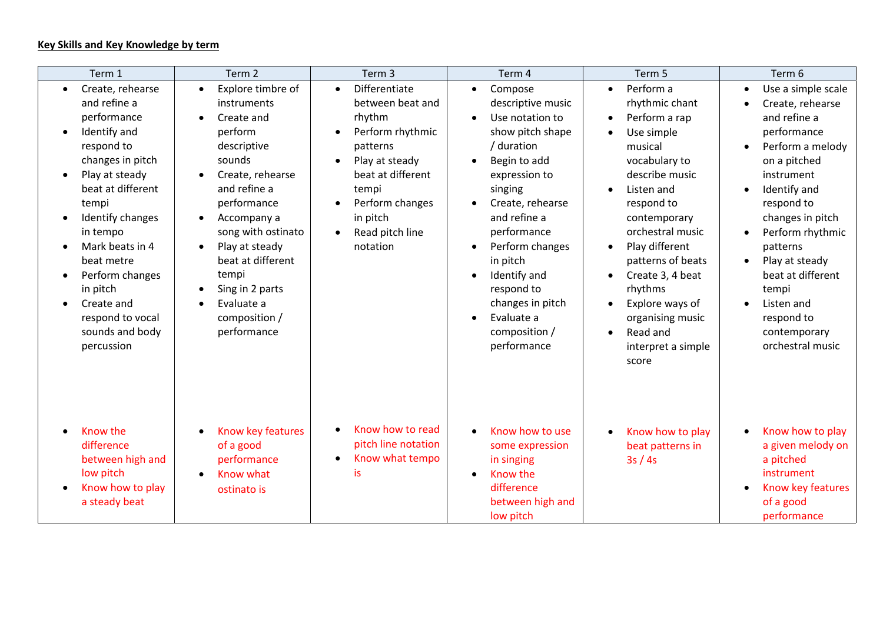## **Key Skills and Key Knowledge by term**

| Term 1                                                                                                                                                                                                                                                                                                                            | Term 2                                                                                                                                                                                                                                                                                                                                                                                 | Term 3                                                                                                                                                                                                                           | Term 4                                                                                                                                                                                                                                                                                                                                                              | Term 5                                                                                                                                                                                                                                                                                                                                                                               | Term 6                                                                                                                                                                                                                                                                                                                                                                                                               |
|-----------------------------------------------------------------------------------------------------------------------------------------------------------------------------------------------------------------------------------------------------------------------------------------------------------------------------------|----------------------------------------------------------------------------------------------------------------------------------------------------------------------------------------------------------------------------------------------------------------------------------------------------------------------------------------------------------------------------------------|----------------------------------------------------------------------------------------------------------------------------------------------------------------------------------------------------------------------------------|---------------------------------------------------------------------------------------------------------------------------------------------------------------------------------------------------------------------------------------------------------------------------------------------------------------------------------------------------------------------|--------------------------------------------------------------------------------------------------------------------------------------------------------------------------------------------------------------------------------------------------------------------------------------------------------------------------------------------------------------------------------------|----------------------------------------------------------------------------------------------------------------------------------------------------------------------------------------------------------------------------------------------------------------------------------------------------------------------------------------------------------------------------------------------------------------------|
| Create, rehearse<br>$\bullet$<br>and refine a<br>performance<br>Identify and<br>respond to<br>changes in pitch<br>Play at steady<br>beat at different<br>tempi<br>Identify changes<br>in tempo<br>Mark beats in 4<br>beat metre<br>Perform changes<br>in pitch<br>Create and<br>respond to vocal<br>sounds and body<br>percussion | Explore timbre of<br>$\bullet$<br>instruments<br>Create and<br>$\bullet$<br>perform<br>descriptive<br>sounds<br>Create, rehearse<br>$\bullet$<br>and refine a<br>performance<br>Accompany a<br>$\bullet$<br>song with ostinato<br>Play at steady<br>$\bullet$<br>beat at different<br>tempi<br>Sing in 2 parts<br>$\bullet$<br>Evaluate a<br>$\bullet$<br>composition /<br>performance | Differentiate<br>$\bullet$<br>between beat and<br>rhythm<br>Perform rhythmic<br>patterns<br>Play at steady<br>$\bullet$<br>beat at different<br>tempi<br>Perform changes<br>in pitch<br>Read pitch line<br>$\bullet$<br>notation | Compose<br>$\bullet$<br>descriptive music<br>Use notation to<br>$\bullet$<br>show pitch shape<br>/ duration<br>Begin to add<br>expression to<br>singing<br>Create, rehearse<br>and refine a<br>performance<br>Perform changes<br>$\bullet$<br>in pitch<br>Identify and<br>$\bullet$<br>respond to<br>changes in pitch<br>Evaluate a<br>composition /<br>performance | Perform a<br>$\bullet$<br>rhythmic chant<br>Perform a rap<br>$\bullet$<br>Use simple<br>musical<br>vocabulary to<br>describe music<br>Listen and<br>respond to<br>contemporary<br>orchestral music<br>Play different<br>$\bullet$<br>patterns of beats<br>Create 3, 4 beat<br>rhythms<br>Explore ways of<br>organising music<br>Read and<br>$\bullet$<br>interpret a simple<br>score | Use a simple scale<br>$\bullet$<br>Create, rehearse<br>$\bullet$<br>and refine a<br>performance<br>Perform a melody<br>$\bullet$<br>on a pitched<br>instrument<br>Identify and<br>$\bullet$<br>respond to<br>changes in pitch<br>Perform rhythmic<br>$\bullet$<br>patterns<br>Play at steady<br>$\bullet$<br>beat at different<br>tempi<br>Listen and<br>$\bullet$<br>respond to<br>contemporary<br>orchestral music |
| Know the<br>difference<br>between high and<br>low pitch<br>Know how to play<br>a steady beat                                                                                                                                                                                                                                      | Know key features<br>$\bullet$<br>of a good<br>performance<br>Know what<br>$\bullet$<br>ostinato is                                                                                                                                                                                                                                                                                    | Know how to read<br>pitch line notation<br>Know what tempo<br>$\bullet$<br>is                                                                                                                                                    | Know how to use<br>some expression<br>in singing<br>Know the<br>$\bullet$<br>difference<br>between high and<br>low pitch                                                                                                                                                                                                                                            | Know how to play<br>beat patterns in<br>3s/4s                                                                                                                                                                                                                                                                                                                                        | Know how to play<br>$\bullet$<br>a given melody on<br>a pitched<br>instrument<br>Know key features<br>$\bullet$<br>of a good<br>performance                                                                                                                                                                                                                                                                          |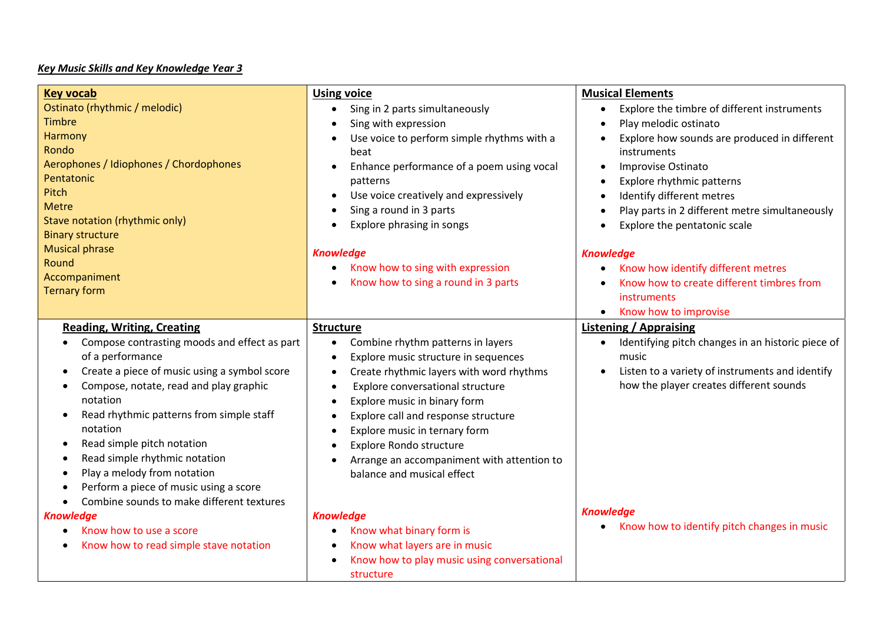### *Key Music Skills and Key Knowledge Year 3*

| <b>Key vocab</b><br>Ostinato (rhythmic / melodic)<br><b>Timbre</b><br><b>Harmony</b><br>Rondo<br>Aerophones / Idiophones / Chordophones<br>Pentatonic<br>Pitch<br><b>Metre</b><br>Stave notation (rhythmic only)<br><b>Binary structure</b><br><b>Musical phrase</b>                                                                                                                                                                                                                                   | <b>Using voice</b><br>Sing in 2 parts simultaneously<br>$\bullet$<br>Sing with expression<br>$\bullet$<br>Use voice to perform simple rhythms with a<br>$\bullet$<br>beat<br>Enhance performance of a poem using vocal<br>patterns<br>Use voice creatively and expressively<br>$\bullet$<br>Sing a round in 3 parts<br>Explore phrasing in songs<br>$\bullet$<br><b>Knowledge</b>                                                                                                                           | <b>Musical Elements</b><br>Explore the timbre of different instruments<br>$\bullet$<br>Play melodic ostinato<br>$\bullet$<br>Explore how sounds are produced in different<br>$\bullet$<br>instruments<br>Improvise Ostinato<br>$\bullet$<br>Explore rhythmic patterns<br>$\bullet$<br>Identify different metres<br>$\bullet$<br>Play parts in 2 different metre simultaneously<br>$\bullet$<br>Explore the pentatonic scale<br>$\bullet$<br><b>Knowledge</b> |
|--------------------------------------------------------------------------------------------------------------------------------------------------------------------------------------------------------------------------------------------------------------------------------------------------------------------------------------------------------------------------------------------------------------------------------------------------------------------------------------------------------|-------------------------------------------------------------------------------------------------------------------------------------------------------------------------------------------------------------------------------------------------------------------------------------------------------------------------------------------------------------------------------------------------------------------------------------------------------------------------------------------------------------|--------------------------------------------------------------------------------------------------------------------------------------------------------------------------------------------------------------------------------------------------------------------------------------------------------------------------------------------------------------------------------------------------------------------------------------------------------------|
| Round<br>Accompaniment<br><b>Ternary form</b>                                                                                                                                                                                                                                                                                                                                                                                                                                                          | Know how to sing with expression<br>$\bullet$<br>Know how to sing a round in 3 parts                                                                                                                                                                                                                                                                                                                                                                                                                        | Know how identify different metres<br>$\bullet$<br>Know how to create different timbres from<br>instruments<br>Know how to improvise<br>$\bullet$                                                                                                                                                                                                                                                                                                            |
| <b>Reading, Writing, Creating</b><br>Compose contrasting moods and effect as part<br>of a performance<br>Create a piece of music using a symbol score<br>$\bullet$<br>Compose, notate, read and play graphic<br>$\bullet$<br>notation<br>Read rhythmic patterns from simple staff<br>$\bullet$<br>notation<br>Read simple pitch notation<br>$\bullet$<br>Read simple rhythmic notation<br>$\bullet$<br>Play a melody from notation<br>$\bullet$<br>Perform a piece of music using a score<br>$\bullet$ | <b>Structure</b><br>Combine rhythm patterns in layers<br>$\bullet$<br>Explore music structure in sequences<br>$\bullet$<br>Create rhythmic layers with word rhythms<br>$\bullet$<br>Explore conversational structure<br>$\bullet$<br>Explore music in binary form<br>$\bullet$<br>Explore call and response structure<br>$\bullet$<br>Explore music in ternary form<br>$\bullet$<br><b>Explore Rondo structure</b><br>Arrange an accompaniment with attention to<br>$\bullet$<br>balance and musical effect | <b>Listening / Appraising</b><br>Identifying pitch changes in an historic piece of<br>$\bullet$<br>music<br>Listen to a variety of instruments and identify<br>$\bullet$<br>how the player creates different sounds                                                                                                                                                                                                                                          |
| Combine sounds to make different textures<br>$\bullet$<br><b>Knowledge</b><br>Know how to use a score<br>$\bullet$<br>Know how to read simple stave notation                                                                                                                                                                                                                                                                                                                                           | <b>Knowledge</b><br>Know what binary form is<br>$\bullet$<br>Know what layers are in music<br>Know how to play music using conversational<br>$\bullet$<br>structure                                                                                                                                                                                                                                                                                                                                         | <b>Knowledge</b><br>Know how to identify pitch changes in music<br>٠                                                                                                                                                                                                                                                                                                                                                                                         |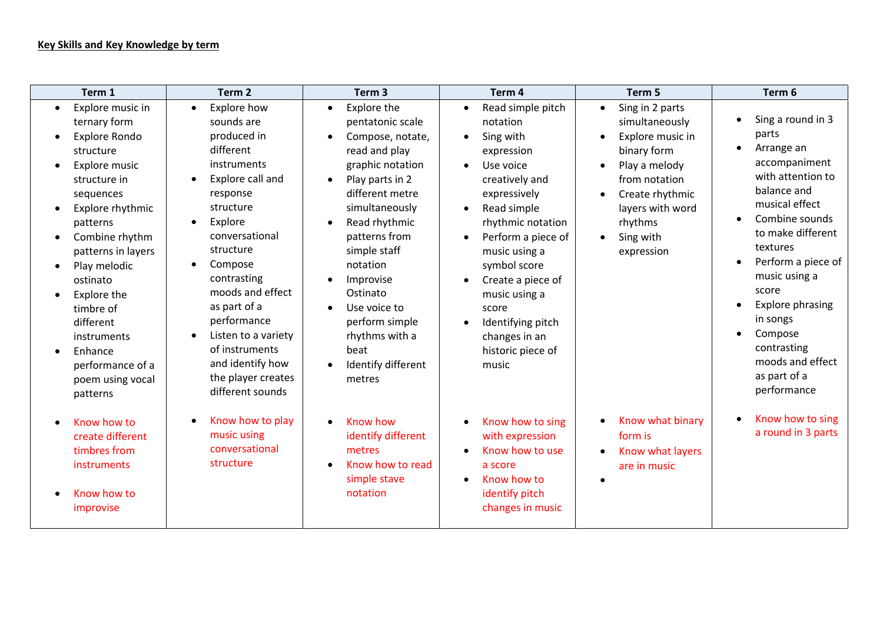### **Key Skills and Key Knowledge by term**

| Term 1                                                                                                                                                                                                                                                                                                                                  | Term <sub>2</sub>                                                                                                                                                                                                                                                                                                                                                                                                | Term <sub>3</sub>                                                                                                                                                                                                                                                                                                                                                          | Term 4                                                                                                                                                                                                                                                                                                                                          | Term 5                                                                                                                                                                                                        | Term 6                                                                                                                                                                                                                                                                                                                                              |
|-----------------------------------------------------------------------------------------------------------------------------------------------------------------------------------------------------------------------------------------------------------------------------------------------------------------------------------------|------------------------------------------------------------------------------------------------------------------------------------------------------------------------------------------------------------------------------------------------------------------------------------------------------------------------------------------------------------------------------------------------------------------|----------------------------------------------------------------------------------------------------------------------------------------------------------------------------------------------------------------------------------------------------------------------------------------------------------------------------------------------------------------------------|-------------------------------------------------------------------------------------------------------------------------------------------------------------------------------------------------------------------------------------------------------------------------------------------------------------------------------------------------|---------------------------------------------------------------------------------------------------------------------------------------------------------------------------------------------------------------|-----------------------------------------------------------------------------------------------------------------------------------------------------------------------------------------------------------------------------------------------------------------------------------------------------------------------------------------------------|
| Explore music in<br>ternary form<br>Explore Rondo<br>structure<br>Explore music<br>structure in<br>sequences<br>Explore rhythmic<br>patterns<br>Combine rhythm<br>patterns in layers<br>Play melodic<br>ostinato<br>Explore the<br>timbre of<br>different<br>instruments<br>Enhance<br>performance of a<br>poem using vocal<br>patterns | Explore how<br>$\bullet$<br>sounds are<br>produced in<br>different<br>instruments<br>Explore call and<br>$\bullet$<br>response<br>structure<br>Explore<br>$\bullet$<br>conversational<br>structure<br>Compose<br>$\bullet$<br>contrasting<br>moods and effect<br>as part of a<br>performance<br>Listen to a variety<br>$\bullet$<br>of instruments<br>and identify how<br>the player creates<br>different sounds | Explore the<br>$\bullet$<br>pentatonic scale<br>Compose, notate,<br>read and play<br>graphic notation<br>Play parts in 2<br>$\bullet$<br>different metre<br>simultaneously<br>Read rhythmic<br>$\bullet$<br>patterns from<br>simple staff<br>notation<br>Improvise<br>Ostinato<br>Use voice to<br>perform simple<br>rhythms with a<br>beat<br>Identify different<br>metres | Read simple pitch<br>notation<br>Sing with<br>expression<br>Use voice<br>creatively and<br>expressively<br>Read simple<br>$\bullet$<br>rhythmic notation<br>Perform a piece of<br>$\bullet$<br>music using a<br>symbol score<br>Create a piece of<br>music using a<br>score<br>Identifying pitch<br>changes in an<br>historic piece of<br>music | Sing in 2 parts<br>$\bullet$<br>simultaneously<br>Explore music in<br>binary form<br>Play a melody<br>from notation<br>Create rhythmic<br>layers with word<br>rhythms<br>Sing with<br>$\bullet$<br>expression | Sing a round in 3<br>parts<br>Arrange an<br>$\bullet$<br>accompaniment<br>with attention to<br>balance and<br>musical effect<br>Combine sounds<br>to make different<br>textures<br>Perform a piece of<br>music using a<br>score<br><b>Explore phrasing</b><br>in songs<br>Compose<br>contrasting<br>moods and effect<br>as part of a<br>performance |
| Know how to<br>create different<br>timbres from<br>instruments<br>Know how to<br>improvise                                                                                                                                                                                                                                              | Know how to play<br>$\bullet$<br>music using<br>conversational<br>structure                                                                                                                                                                                                                                                                                                                                      | Know how<br>identify different<br>metres<br>Know how to read<br>simple stave<br>notation                                                                                                                                                                                                                                                                                   | Know how to sing<br>with expression<br>Know how to use<br>a score<br>Know how to<br>identify pitch<br>changes in music                                                                                                                                                                                                                          | Know what binary<br>form is<br>Know what layers<br>are in music                                                                                                                                               | Know how to sing<br>a round in 3 parts                                                                                                                                                                                                                                                                                                              |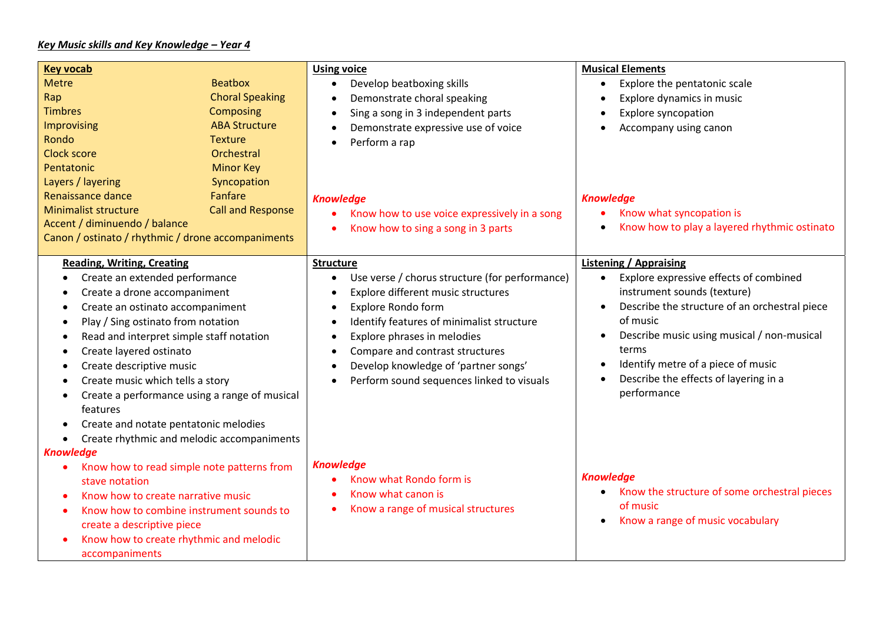## *Key Music skills and Key Knowledge – Year 4*

| <b>Key vocab</b><br><b>Metre</b><br>Rap<br><b>Timbres</b><br>Improvising<br>Rondo<br>Clock score<br>Pentatonic                                                                                                                                                                                                                                                                                                                                                                                                                                                                                                  | <b>Beatbox</b><br><b>Choral Speaking</b><br>Composing<br><b>ABA Structure</b><br><b>Texture</b><br>Orchestral<br><b>Minor Key</b> | <b>Using voice</b><br>Develop beatboxing skills<br>$\bullet$<br>Demonstrate choral speaking<br>$\bullet$<br>Sing a song in 3 independent parts<br>$\bullet$<br>Demonstrate expressive use of voice<br>$\bullet$<br>Perform a rap<br>$\bullet$                                                                                                                                                                                              | <b>Musical Elements</b><br>Explore the pentatonic scale<br>$\bullet$<br>Explore dynamics in music<br>$\bullet$<br><b>Explore syncopation</b><br>$\bullet$<br>Accompany using canon<br>$\bullet$                                                                                                                                                                                           |
|-----------------------------------------------------------------------------------------------------------------------------------------------------------------------------------------------------------------------------------------------------------------------------------------------------------------------------------------------------------------------------------------------------------------------------------------------------------------------------------------------------------------------------------------------------------------------------------------------------------------|-----------------------------------------------------------------------------------------------------------------------------------|--------------------------------------------------------------------------------------------------------------------------------------------------------------------------------------------------------------------------------------------------------------------------------------------------------------------------------------------------------------------------------------------------------------------------------------------|-------------------------------------------------------------------------------------------------------------------------------------------------------------------------------------------------------------------------------------------------------------------------------------------------------------------------------------------------------------------------------------------|
| Layers / layering<br>Renaissance dance<br><b>Minimalist structure</b><br>Accent / diminuendo / balance<br>Canon / ostinato / rhythmic / drone accompaniments                                                                                                                                                                                                                                                                                                                                                                                                                                                    | Syncopation<br>Fanfare<br><b>Call and Response</b>                                                                                | <b>Knowledge</b><br>Know how to use voice expressively in a song<br>Know how to sing a song in 3 parts                                                                                                                                                                                                                                                                                                                                     | <b>Knowledge</b><br>Know what syncopation is<br>Know how to play a layered rhythmic ostinato<br>$\bullet$                                                                                                                                                                                                                                                                                 |
| <b>Reading, Writing, Creating</b><br>Create an extended performance<br>٠<br>Create a drone accompaniment<br>$\bullet$<br>Create an ostinato accompaniment<br>$\bullet$<br>Play / Sing ostinato from notation<br>$\bullet$<br>Read and interpret simple staff notation<br>$\bullet$<br>Create layered ostinato<br>$\bullet$<br>Create descriptive music<br>$\bullet$<br>Create music which tells a story<br>$\bullet$<br>Create a performance using a range of musical<br>$\bullet$<br>features<br>Create and notate pentatonic melodies<br>$\bullet$<br>Create rhythmic and melodic accompaniments<br>$\bullet$ |                                                                                                                                   | <b>Structure</b><br>Use verse / chorus structure (for performance)<br>$\bullet$<br>Explore different music structures<br>$\bullet$<br>Explore Rondo form<br>$\bullet$<br>Identify features of minimalist structure<br>$\bullet$<br>Explore phrases in melodies<br>$\bullet$<br>Compare and contrast structures<br>$\bullet$<br>Develop knowledge of 'partner songs'<br>$\bullet$<br>Perform sound sequences linked to visuals<br>$\bullet$ | <b>Listening / Appraising</b><br>Explore expressive effects of combined<br>$\bullet$<br>instrument sounds (texture)<br>Describe the structure of an orchestral piece<br>$\bullet$<br>of music<br>Describe music using musical / non-musical<br>$\bullet$<br>terms<br>Identify metre of a piece of music<br>$\bullet$<br>Describe the effects of layering in a<br>$\bullet$<br>performance |
| <b>Knowledge</b><br>Know how to read simple note patterns from<br>٠<br>stave notation<br>Know how to create narrative music<br>$\bullet$<br>Know how to combine instrument sounds to<br>$\bullet$<br>create a descriptive piece<br>Know how to create rhythmic and melodic<br>$\bullet$<br>accompaniments                                                                                                                                                                                                                                                                                                       |                                                                                                                                   | <b>Knowledge</b><br>Know what Rondo form is<br>Know what canon is<br>Know a range of musical structures                                                                                                                                                                                                                                                                                                                                    | <b>Knowledge</b><br>Know the structure of some orchestral pieces<br>$\bullet$<br>of music<br>Know a range of music vocabulary<br>$\bullet$                                                                                                                                                                                                                                                |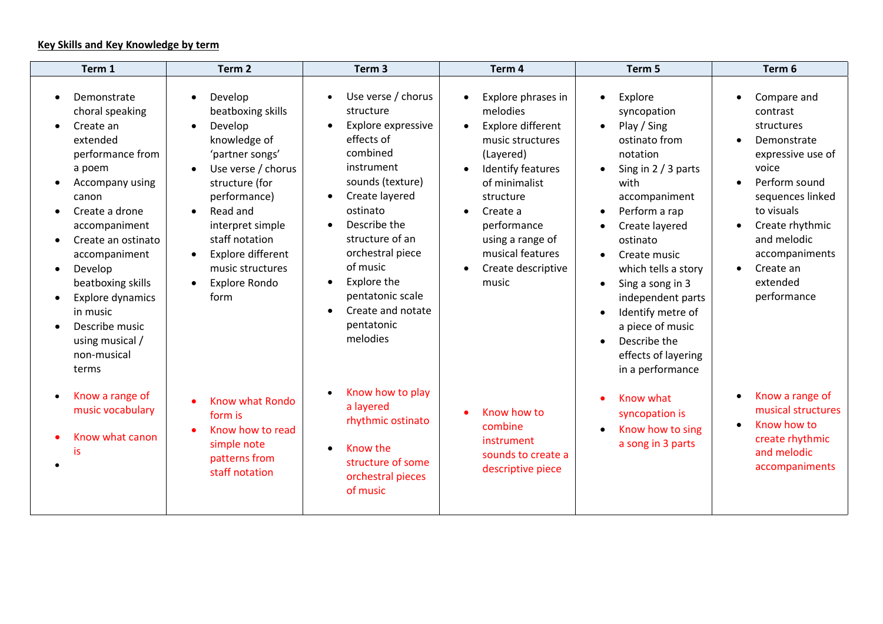## **Key Skills and Key Knowledge by term**

| Term 1                                                                                                                                                                                                                                                                                                                          | Term <sub>2</sub>                                                                                                                                                                                                                                                                                                 | Term <sub>3</sub>                                                                                                                                                                                                                                                                                                                           | Term 4                                                                                                                                                                                                                                                                                                     | Term 5                                                                                                                                                                                                                                                                                                                                                                                                    | Term 6                                                                                                                                                                                                                                                                                             |
|---------------------------------------------------------------------------------------------------------------------------------------------------------------------------------------------------------------------------------------------------------------------------------------------------------------------------------|-------------------------------------------------------------------------------------------------------------------------------------------------------------------------------------------------------------------------------------------------------------------------------------------------------------------|---------------------------------------------------------------------------------------------------------------------------------------------------------------------------------------------------------------------------------------------------------------------------------------------------------------------------------------------|------------------------------------------------------------------------------------------------------------------------------------------------------------------------------------------------------------------------------------------------------------------------------------------------------------|-----------------------------------------------------------------------------------------------------------------------------------------------------------------------------------------------------------------------------------------------------------------------------------------------------------------------------------------------------------------------------------------------------------|----------------------------------------------------------------------------------------------------------------------------------------------------------------------------------------------------------------------------------------------------------------------------------------------------|
| Demonstrate<br>choral speaking<br>Create an<br>extended<br>performance from<br>a poem<br>Accompany using<br>canon<br>Create a drone<br>accompaniment<br>Create an ostinato<br>accompaniment<br>Develop<br>beatboxing skills<br><b>Explore dynamics</b><br>in music<br>Describe music<br>using musical /<br>non-musical<br>terms | Develop<br>beatboxing skills<br>Develop<br>$\bullet$<br>knowledge of<br>'partner songs'<br>Use verse / chorus<br>structure (for<br>performance)<br>Read and<br>$\bullet$<br>interpret simple<br>staff notation<br>Explore different<br>$\bullet$<br>music structures<br><b>Explore Rondo</b><br>$\bullet$<br>form | Use verse / chorus<br>structure<br>Explore expressive<br>$\bullet$<br>effects of<br>combined<br>instrument<br>sounds (texture)<br>Create layered<br>ostinato<br>Describe the<br>$\bullet$<br>structure of an<br>orchestral piece<br>of music<br>Explore the<br>$\bullet$<br>pentatonic scale<br>Create and notate<br>pentatonic<br>melodies | Explore phrases in<br>$\bullet$<br>melodies<br>Explore different<br>$\bullet$<br>music structures<br>(Layered)<br>Identify features<br>$\bullet$<br>of minimalist<br>structure<br>Create a<br>$\bullet$<br>performance<br>using a range of<br>musical features<br>Create descriptive<br>$\bullet$<br>music | Explore<br>syncopation<br>Play / Sing<br>$\bullet$<br>ostinato from<br>notation<br>Sing in 2 / 3 parts<br>with<br>accompaniment<br>Perform a rap<br>$\bullet$<br>Create layered<br>ostinato<br>Create music<br>which tells a story<br>Sing a song in 3<br>$\bullet$<br>independent parts<br>Identify metre of<br>a piece of music<br>Describe the<br>$\bullet$<br>effects of layering<br>in a performance | Compare and<br>$\bullet$<br>contrast<br>structures<br>Demonstrate<br>$\bullet$<br>expressive use of<br>voice<br>Perform sound<br>$\bullet$<br>sequences linked<br>to visuals<br>Create rhythmic<br>$\bullet$<br>and melodic<br>accompaniments<br>Create an<br>$\bullet$<br>extended<br>performance |
| Know a range of<br>music vocabulary<br>Know what canon<br>is                                                                                                                                                                                                                                                                    | Know what Rondo<br>form is<br>Know how to read<br>simple note<br>patterns from<br>staff notation                                                                                                                                                                                                                  | Know how to play<br>$\bullet$<br>a layered<br>rhythmic ostinato<br>Know the<br>$\bullet$<br>structure of some<br>orchestral pieces<br>of music                                                                                                                                                                                              | Know how to<br>combine<br>instrument<br>sounds to create a<br>descriptive piece                                                                                                                                                                                                                            | Know what<br>syncopation is<br>Know how to sing<br>a song in 3 parts                                                                                                                                                                                                                                                                                                                                      | Know a range of<br>$\bullet$<br>musical structures<br>Know how to<br>$\bullet$<br>create rhythmic<br>and melodic<br>accompaniments                                                                                                                                                                 |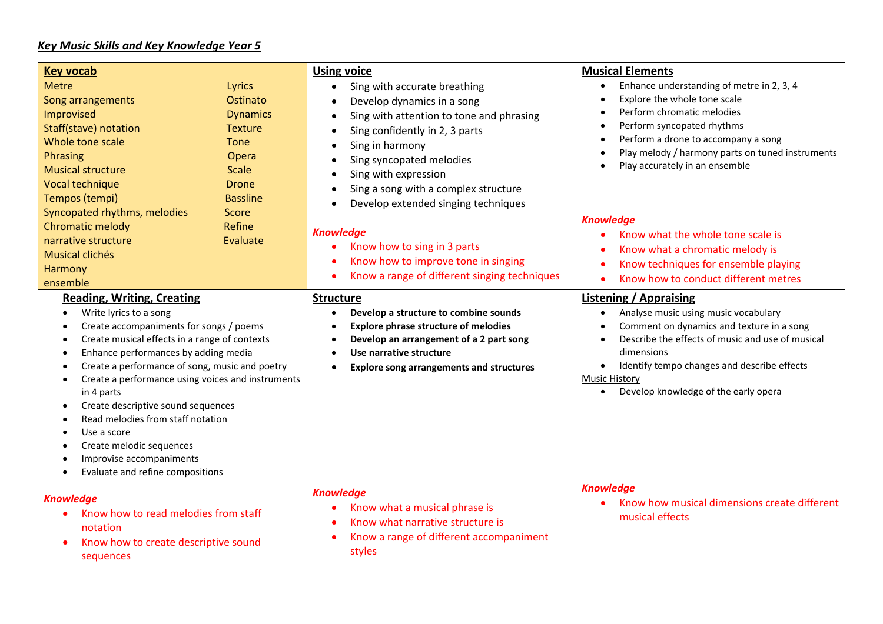# *Key Music Skills and Key Knowledge Year 5*

| <b>Key vocab</b>                                                                                                 |                 | <b>Using voice</b>                                    | <b>Musical Elements</b>                                        |  |
|------------------------------------------------------------------------------------------------------------------|-----------------|-------------------------------------------------------|----------------------------------------------------------------|--|
| <b>Metre</b>                                                                                                     | Lyrics          | Sing with accurate breathing<br>$\bullet$             | Enhance understanding of metre in 2, 3, 4<br>$\bullet$         |  |
| Song arrangements                                                                                                | Ostinato        | Develop dynamics in a song<br>$\bullet$               | Explore the whole tone scale                                   |  |
| Improvised                                                                                                       | <b>Dynamics</b> | Sing with attention to tone and phrasing<br>$\bullet$ | Perform chromatic melodies                                     |  |
| <b>Staff(stave) notation</b>                                                                                     | <b>Texture</b>  | Sing confidently in 2, 3 parts<br>$\bullet$           | Perform syncopated rhythms                                     |  |
| Whole tone scale                                                                                                 | <b>Tone</b>     | Sing in harmony                                       | Perform a drone to accompany a song                            |  |
| <b>Phrasing</b>                                                                                                  | Opera           | Sing syncopated melodies<br>$\bullet$                 | Play melody / harmony parts on tuned instruments               |  |
| <b>Musical structure</b>                                                                                         | <b>Scale</b>    | Sing with expression<br>$\bullet$                     | Play accurately in an ensemble                                 |  |
| Vocal technique                                                                                                  | <b>Drone</b>    | Sing a song with a complex structure<br>$\bullet$     |                                                                |  |
| Tempos (tempi)                                                                                                   | <b>Bassline</b> | Develop extended singing techniques<br>$\bullet$      |                                                                |  |
| Syncopated rhythms, melodies                                                                                     | Score           |                                                       | <b>Knowledge</b>                                               |  |
| Chromatic melody                                                                                                 | Refine          | <b>Knowledge</b>                                      | Know what the whole tone scale is                              |  |
| narrative structure                                                                                              | Evaluate        | Know how to sing in 3 parts                           | Know what a chromatic melody is                                |  |
| <b>Musical clichés</b>                                                                                           |                 | Know how to improve tone in singing                   | Know techniques for ensemble playing                           |  |
| Harmony                                                                                                          |                 | Know a range of different singing techniques          | Know how to conduct different metres<br>$\bullet$              |  |
| ensemble                                                                                                         |                 |                                                       |                                                                |  |
| <b>Reading, Writing, Creating</b>                                                                                |                 | <b>Structure</b>                                      | <b>Listening / Appraising</b>                                  |  |
| Write lyrics to a song<br>$\bullet$                                                                              |                 | Develop a structure to combine sounds                 | Analyse music using music vocabulary<br>$\bullet$              |  |
| Create accompaniments for songs / poems<br>$\bullet$                                                             |                 | <b>Explore phrase structure of melodies</b>           | Comment on dynamics and texture in a song                      |  |
| Create musical effects in a range of contexts<br>$\bullet$                                                       |                 | Develop an arrangement of a 2 part song               | Describe the effects of music and use of musical<br>dimensions |  |
| Enhance performances by adding media<br>$\bullet$<br>Create a performance of song, music and poetry<br>$\bullet$ |                 | Use narrative structure<br>$\bullet$<br>$\bullet$     | Identify tempo changes and describe effects                    |  |
| Create a performance using voices and instruments<br>$\bullet$                                                   |                 | <b>Explore song arrangements and structures</b>       | <b>Music History</b>                                           |  |
| in 4 parts                                                                                                       |                 |                                                       | Develop knowledge of the early opera                           |  |
| Create descriptive sound sequences<br>$\bullet$                                                                  |                 |                                                       |                                                                |  |
| Read melodies from staff notation<br>$\bullet$                                                                   |                 |                                                       |                                                                |  |
| Use a score<br>٠                                                                                                 |                 |                                                       |                                                                |  |
| Create melodic sequences                                                                                         |                 |                                                       |                                                                |  |
| Improvise accompaniments<br>$\bullet$                                                                            |                 |                                                       |                                                                |  |
| Evaluate and refine compositions                                                                                 |                 |                                                       |                                                                |  |
|                                                                                                                  |                 | <b>Knowledge</b>                                      | <b>Knowledge</b>                                               |  |
| <b>Knowledge</b>                                                                                                 |                 | Know what a musical phrase is                         | Know how musical dimensions create different                   |  |
| Know how to read melodies from staff                                                                             |                 | Know what narrative structure is                      | musical effects                                                |  |
| notation                                                                                                         |                 | Know a range of different accompaniment               |                                                                |  |
| Know how to create descriptive sound<br>$\bullet$                                                                |                 | styles                                                |                                                                |  |
| sequences                                                                                                        |                 |                                                       |                                                                |  |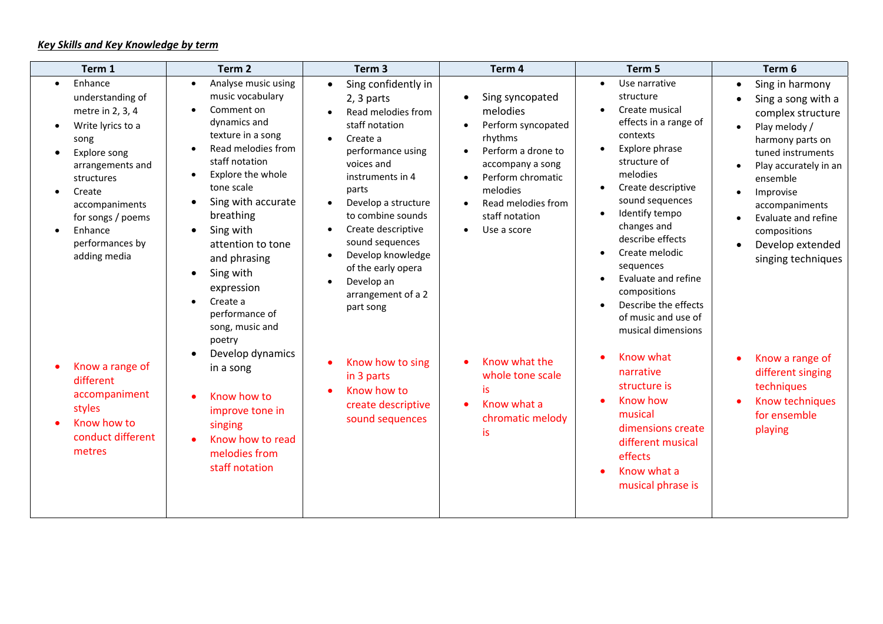| Term 1                                                                                                                                                                                                                                                                                                                                 | Term <sub>2</sub>                                                                                                                                                                                                                                                                                                                                                                                                                                                                                                                                                   | Term <sub>3</sub>                                                                                                                                                                                                                                                                                                                                                                                                                                                                                 | Term 4                                                                                                                                                                                                                                                                                                                                        | Term 5                                                                                                                                                                                                                                                                                                                                                                                                                                                                                                                                                                                 | Term 6                                                                                                                                                                                                                                                                                                                                                                                                                                                                                |
|----------------------------------------------------------------------------------------------------------------------------------------------------------------------------------------------------------------------------------------------------------------------------------------------------------------------------------------|---------------------------------------------------------------------------------------------------------------------------------------------------------------------------------------------------------------------------------------------------------------------------------------------------------------------------------------------------------------------------------------------------------------------------------------------------------------------------------------------------------------------------------------------------------------------|---------------------------------------------------------------------------------------------------------------------------------------------------------------------------------------------------------------------------------------------------------------------------------------------------------------------------------------------------------------------------------------------------------------------------------------------------------------------------------------------------|-----------------------------------------------------------------------------------------------------------------------------------------------------------------------------------------------------------------------------------------------------------------------------------------------------------------------------------------------|----------------------------------------------------------------------------------------------------------------------------------------------------------------------------------------------------------------------------------------------------------------------------------------------------------------------------------------------------------------------------------------------------------------------------------------------------------------------------------------------------------------------------------------------------------------------------------------|---------------------------------------------------------------------------------------------------------------------------------------------------------------------------------------------------------------------------------------------------------------------------------------------------------------------------------------------------------------------------------------------------------------------------------------------------------------------------------------|
| Enhance<br>understanding of<br>metre in 2, 3, 4<br>Write lyrics to a<br>song<br>Explore song<br>arrangements and<br>structures<br>Create<br>accompaniments<br>for songs / poems<br>Enhance<br>performances by<br>adding media<br>Know a range of<br>different<br>accompaniment<br>styles<br>Know how to<br>conduct different<br>metres | Analyse music using<br>$\bullet$<br>music vocabulary<br>Comment on<br>dynamics and<br>texture in a song<br>Read melodies from<br>staff notation<br>Explore the whole<br>$\bullet$<br>tone scale<br>Sing with accurate<br>$\bullet$<br>breathing<br>Sing with<br>$\bullet$<br>attention to tone<br>and phrasing<br>Sing with<br>$\bullet$<br>expression<br>Create a<br>$\bullet$<br>performance of<br>song, music and<br>poetry<br>Develop dynamics<br>in a song<br>Know how to<br>improve tone in<br>singing<br>Know how to read<br>melodies from<br>staff notation | Sing confidently in<br>$\bullet$<br>2, 3 parts<br>Read melodies from<br>staff notation<br>Create a<br>$\bullet$<br>performance using<br>voices and<br>instruments in 4<br>parts<br>Develop a structure<br>to combine sounds<br>Create descriptive<br>$\bullet$<br>sound sequences<br>Develop knowledge<br>$\bullet$<br>of the early opera<br>Develop an<br>$\bullet$<br>arrangement of a 2<br>part song<br>Know how to sing<br>in 3 parts<br>Know how to<br>create descriptive<br>sound sequences | Sing syncopated<br>$\bullet$<br>melodies<br>Perform syncopated<br>$\bullet$<br>rhythms<br>Perform a drone to<br>accompany a song<br>Perform chromatic<br>melodies<br>Read melodies from<br>$\bullet$<br>staff notation<br>Use a score<br>$\bullet$<br>Know what the<br>whole tone scale<br>is<br>Know what a<br>chromatic melody<br><b>is</b> | Use narrative<br>$\bullet$<br>structure<br>Create musical<br>effects in a range of<br>contexts<br>Explore phrase<br>$\bullet$<br>structure of<br>melodies<br>Create descriptive<br>$\bullet$<br>sound sequences<br>Identify tempo<br>changes and<br>describe effects<br>Create melodic<br>$\bullet$<br>sequences<br>Evaluate and refine<br>compositions<br>Describe the effects<br>of music and use of<br>musical dimensions<br>Know what<br>narrative<br>structure is<br>Know how<br>musical<br>dimensions create<br>different musical<br>effects<br>Know what a<br>musical phrase is | Sing in harmony<br>$\bullet$<br>Sing a song with a<br>$\bullet$<br>complex structure<br>Play melody /<br>$\bullet$<br>harmony parts on<br>tuned instruments<br>Play accurately in an<br>$\bullet$<br>ensemble<br>Improvise<br>$\bullet$<br>accompaniments<br>Evaluate and refine<br>$\bullet$<br>compositions<br>Develop extended<br>$\bullet$<br>singing techniques<br>Know a range of<br>$\bullet$<br>different singing<br>techniques<br>Know techniques<br>for ensemble<br>playing |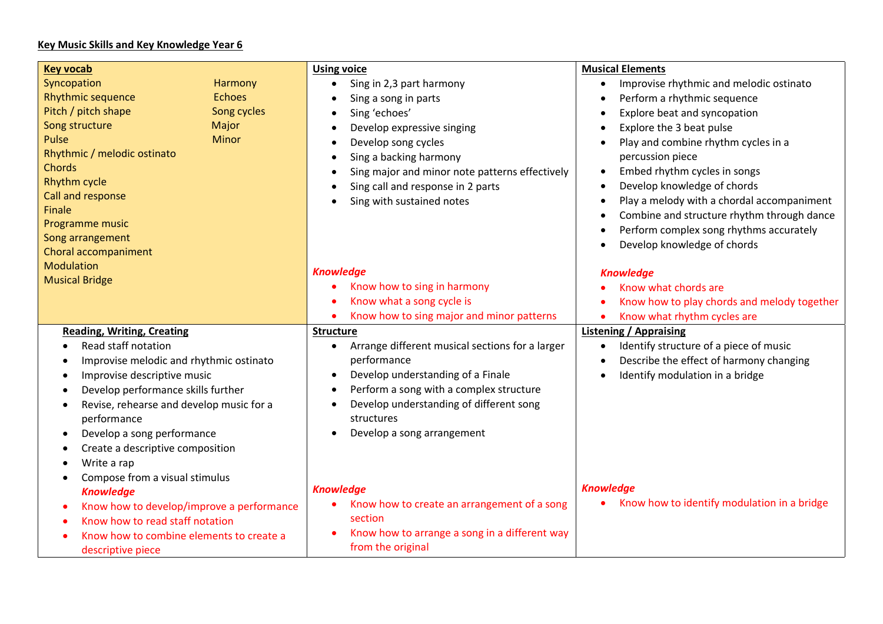## **Key Music Skills and Key Knowledge Year 6**

| <b>Key vocab</b>                                       |               | <b>Using voice</b>                                                                         | <b>Musical Elements</b>                              |
|--------------------------------------------------------|---------------|--------------------------------------------------------------------------------------------|------------------------------------------------------|
| Syncopation                                            | Harmony       | Sing in 2,3 part harmony<br>$\bullet$                                                      | Improvise rhythmic and melodic ostinato<br>$\bullet$ |
| <b>Rhythmic sequence</b>                               | <b>Echoes</b> | Sing a song in parts<br>$\bullet$                                                          | Perform a rhythmic sequence                          |
| Pitch / pitch shape                                    | Song cycles   | Sing 'echoes'<br>$\bullet$                                                                 | Explore beat and syncopation                         |
| Song structure                                         | Major         | Develop expressive singing<br>$\bullet$                                                    | Explore the 3 beat pulse<br>$\bullet$                |
| Pulse                                                  | Minor         | Develop song cycles<br>$\bullet$                                                           | Play and combine rhythm cycles in a<br>$\bullet$     |
| Rhythmic / melodic ostinato                            |               | Sing a backing harmony<br>$\bullet$                                                        | percussion piece                                     |
| Chords                                                 |               | Sing major and minor note patterns effectively<br>$\bullet$                                | Embed rhythm cycles in songs<br>$\bullet$            |
| Rhythm cycle                                           |               | Develop knowledge of chords<br>Sing call and response in 2 parts<br>$\bullet$              |                                                      |
| Call and response                                      |               | Sing with sustained notes<br>$\bullet$                                                     | Play a melody with a chordal accompaniment           |
| Finale                                                 |               |                                                                                            | Combine and structure rhythm through dance           |
| Programme music                                        |               |                                                                                            | Perform complex song rhythms accurately              |
| Song arrangement                                       |               |                                                                                            | Develop knowledge of chords                          |
| Choral accompaniment                                   |               |                                                                                            |                                                      |
| <b>Modulation</b>                                      |               | <b>Knowledge</b>                                                                           | <b>Knowledge</b>                                     |
| <b>Musical Bridge</b>                                  |               | Know how to sing in harmony                                                                | Know what chords are                                 |
|                                                        |               | Know what a song cycle is                                                                  | Know how to play chords and melody together          |
|                                                        |               | Know how to sing major and minor patterns                                                  | Know what rhythm cycles are                          |
| <b>Reading, Writing, Creating</b>                      |               | <b>Structure</b>                                                                           | <b>Listening / Appraising</b>                        |
| Read staff notation                                    |               | Arrange different musical sections for a larger<br>$\bullet$                               | Identify structure of a piece of music<br>$\bullet$  |
| Improvise melodic and rhythmic ostinato<br>$\bullet$   |               | performance                                                                                | Describe the effect of harmony changing              |
| Improvise descriptive music<br>$\bullet$               |               | Develop understanding of a Finale<br>$\bullet$                                             | Identify modulation in a bridge                      |
| Develop performance skills further<br>$\bullet$        |               | Perform a song with a complex structure<br>$\bullet$                                       |                                                      |
| Revise, rehearse and develop music for a<br>$\bullet$  |               | Develop understanding of different song<br>$\bullet$                                       |                                                      |
| performance                                            |               | structures                                                                                 |                                                      |
| Develop a song performance<br>$\bullet$                |               | Develop a song arrangement                                                                 |                                                      |
| Create a descriptive composition                       |               |                                                                                            |                                                      |
| Write a rap<br>$\bullet$                               |               |                                                                                            |                                                      |
| Compose from a visual stimulus<br>$\bullet$            |               |                                                                                            |                                                      |
| <b>Knowledge</b>                                       |               | <b>Knowledge</b>                                                                           | <b>Knowledge</b>                                     |
| Know how to develop/improve a performance<br>$\bullet$ |               | Know how to identify modulation in a bridge<br>Know how to create an arrangement of a song |                                                      |
| Know how to read staff notation                        |               | section                                                                                    |                                                      |
| Know how to combine elements to create a               |               | Know how to arrange a song in a different way                                              |                                                      |
| descriptive piece                                      |               | from the original                                                                          |                                                      |